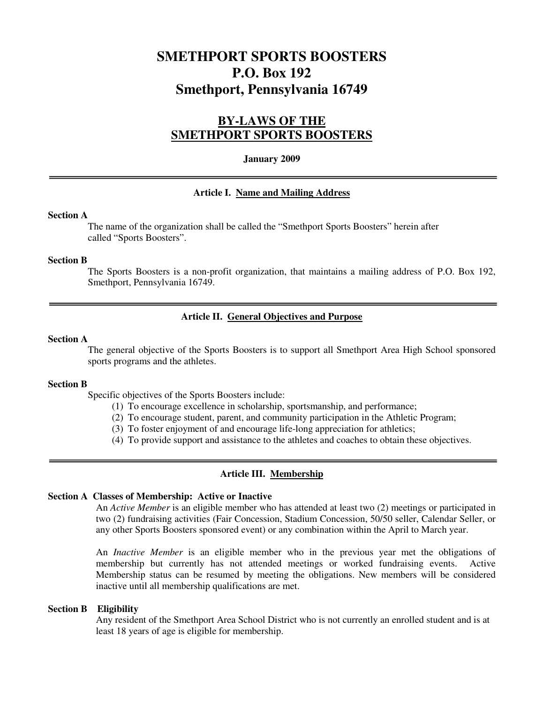# **SMETHPORT SPORTS BOOSTERS P.O. Box 192 Smethport, Pennsylvania 16749**

# **BY-LAWS OF THE SMETHPORT SPORTS BOOSTERS**

### **January 2009**

### **Article I. Name and Mailing Address**

### **Section A**

The name of the organization shall be called the "Smethport Sports Boosters" herein after called "Sports Boosters".

#### **Section B**

The Sports Boosters is a non-profit organization, that maintains a mailing address of P.O. Box 192, Smethport, Pennsylvania 16749.

### **Article II. General Objectives and Purpose**

### **Section A**

The general objective of the Sports Boosters is to support all Smethport Area High School sponsored sports programs and the athletes.

#### **Section B**

Specific objectives of the Sports Boosters include:

- (1) To encourage excellence in scholarship, sportsmanship, and performance;
- (2) To encourage student, parent, and community participation in the Athletic Program;
- (3) To foster enjoyment of and encourage life-long appreciation for athletics;
- (4) To provide support and assistance to the athletes and coaches to obtain these objectives.

#### **Article III. Membership**

#### **Section A Classes of Membership: Active or Inactive**

An *Active Member* is an eligible member who has attended at least two (2) meetings or participated in two (2) fundraising activities (Fair Concession, Stadium Concession, 50/50 seller, Calendar Seller, or any other Sports Boosters sponsored event) or any combination within the April to March year.

An *Inactive Member* is an eligible member who in the previous year met the obligations of membership but currently has not attended meetings or worked fundraising events. Active Membership status can be resumed by meeting the obligations. New members will be considered inactive until all membership qualifications are met.

#### **Section B Eligibility**

Any resident of the Smethport Area School District who is not currently an enrolled student and is at least 18 years of age is eligible for membership.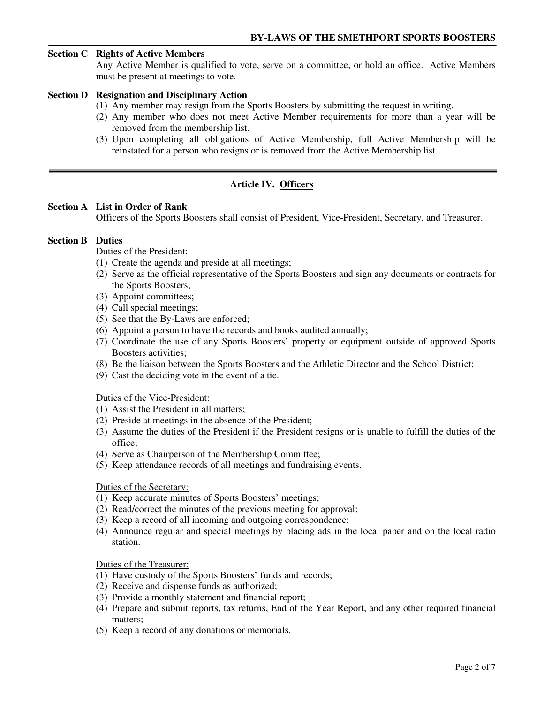### **Section C Rights of Active Members**

Any Active Member is qualified to vote, serve on a committee, or hold an office. Active Members must be present at meetings to vote.

### **Section D Resignation and Disciplinary Action**

- (1) Any member may resign from the Sports Boosters by submitting the request in writing.
- (2) Any member who does not meet Active Member requirements for more than a year will be removed from the membership list.
- (3) Upon completing all obligations of Active Membership, full Active Membership will be reinstated for a person who resigns or is removed from the Active Membership list.

## **Article IV. Officers**

### **Section A List in Order of Rank**

Officers of the Sports Boosters shall consist of President, Vice-President, Secretary, and Treasurer.

### **Section B Duties**

### Duties of the President:

- (1) Create the agenda and preside at all meetings;
- (2) Serve as the official representative of the Sports Boosters and sign any documents or contracts for the Sports Boosters;
- (3) Appoint committees;
- (4) Call special meetings;
- (5) See that the By-Laws are enforced;
- (6) Appoint a person to have the records and books audited annually;
- (7) Coordinate the use of any Sports Boosters' property or equipment outside of approved Sports Boosters activities;
- (8) Be the liaison between the Sports Boosters and the Athletic Director and the School District;
- (9) Cast the deciding vote in the event of a tie.

## Duties of the Vice-President:

- (1) Assist the President in all matters;
- (2) Preside at meetings in the absence of the President;
- (3) Assume the duties of the President if the President resigns or is unable to fulfill the duties of the office;
- (4) Serve as Chairperson of the Membership Committee;
- (5) Keep attendance records of all meetings and fundraising events.

### Duties of the Secretary:

- (1) Keep accurate minutes of Sports Boosters' meetings;
- (2) Read/correct the minutes of the previous meeting for approval;
- (3) Keep a record of all incoming and outgoing correspondence;
- (4) Announce regular and special meetings by placing ads in the local paper and on the local radio station.

### Duties of the Treasurer:

- (1) Have custody of the Sports Boosters' funds and records;
- (2) Receive and dispense funds as authorized;
- (3) Provide a monthly statement and financial report;
- (4) Prepare and submit reports, tax returns, End of the Year Report, and any other required financial matters;
- (5) Keep a record of any donations or memorials.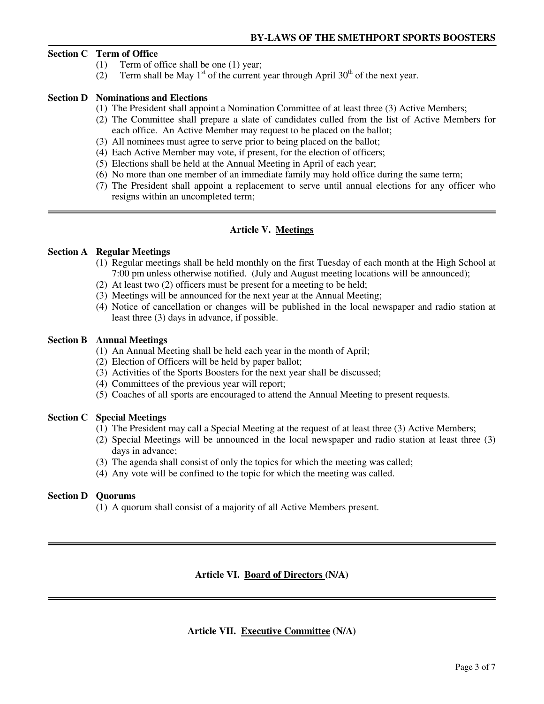### **Section C Term of Office**

- (1) Term of office shall be one (1) year;
- (2) Term shall be May  $1<sup>st</sup>$  of the current year through April 30<sup>th</sup> of the next year.

### **Section D Nominations and Elections**

- (1) The President shall appoint a Nomination Committee of at least three (3) Active Members;
- (2) The Committee shall prepare a slate of candidates culled from the list of Active Members for each office. An Active Member may request to be placed on the ballot;
- (3) All nominees must agree to serve prior to being placed on the ballot;
- (4) Each Active Member may vote, if present, for the election of officers;
- (5) Elections shall be held at the Annual Meeting in April of each year;
- (6) No more than one member of an immediate family may hold office during the same term;
- (7) The President shall appoint a replacement to serve until annual elections for any officer who resigns within an uncompleted term;

### **Article V. Meetings**

### **Section A Regular Meetings**

- (1) Regular meetings shall be held monthly on the first Tuesday of each month at the High School at 7:00 pm unless otherwise notified. (July and August meeting locations will be announced);
- (2) At least two (2) officers must be present for a meeting to be held;
- (3) Meetings will be announced for the next year at the Annual Meeting;
- (4) Notice of cancellation or changes will be published in the local newspaper and radio station at least three (3) days in advance, if possible.

### **Section B Annual Meetings**

- (1) An Annual Meeting shall be held each year in the month of April;
- (2) Election of Officers will be held by paper ballot;
- (3) Activities of the Sports Boosters for the next year shall be discussed;
- (4) Committees of the previous year will report;
- (5) Coaches of all sports are encouraged to attend the Annual Meeting to present requests.

### **Section C Special Meetings**

- (1) The President may call a Special Meeting at the request of at least three (3) Active Members;
- (2) Special Meetings will be announced in the local newspaper and radio station at least three (3) days in advance;
- (3) The agenda shall consist of only the topics for which the meeting was called;
- (4) Any vote will be confined to the topic for which the meeting was called.

### **Section D Quorums**

(1) A quorum shall consist of a majority of all Active Members present.

### **Article VI. Board of Directors (N/A)**

### **Article VII. Executive Committee (N/A)**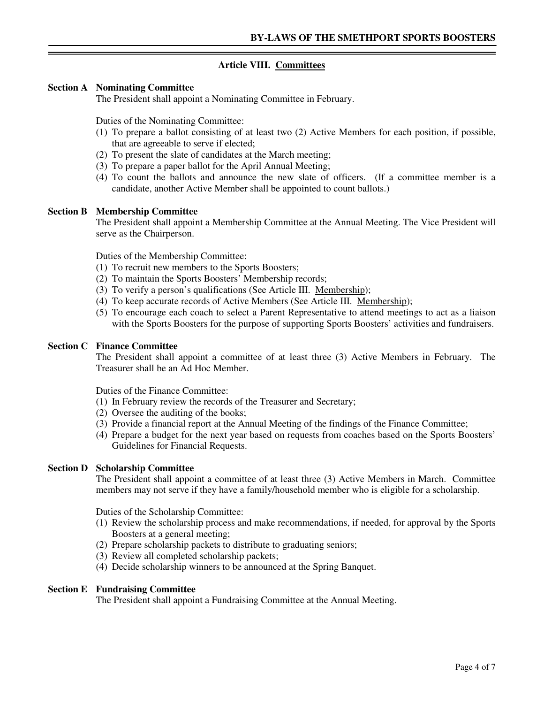## **Article VIII. Committees**

### **Section A Nominating Committee**

The President shall appoint a Nominating Committee in February.

Duties of the Nominating Committee:

- (1) To prepare a ballot consisting of at least two (2) Active Members for each position, if possible, that are agreeable to serve if elected;
- (2) To present the slate of candidates at the March meeting;
- (3) To prepare a paper ballot for the April Annual Meeting;
- (4) To count the ballots and announce the new slate of officers. (If a committee member is a candidate, another Active Member shall be appointed to count ballots.)

### **Section B Membership Committee**

The President shall appoint a Membership Committee at the Annual Meeting. The Vice President will serve as the Chairperson.

Duties of the Membership Committee:

- (1) To recruit new members to the Sports Boosters;
- (2) To maintain the Sports Boosters' Membership records;
- (3) To verify a person's qualifications (See Article III. Membership);
- (4) To keep accurate records of Active Members (See Article III. Membership);
- (5) To encourage each coach to select a Parent Representative to attend meetings to act as a liaison with the Sports Boosters for the purpose of supporting Sports Boosters' activities and fundraisers.

### **Section C Finance Committee**

 The President shall appoint a committee of at least three (3) Active Members in February. The Treasurer shall be an Ad Hoc Member.

Duties of the Finance Committee:

- (1) In February review the records of the Treasurer and Secretary;
- (2) Oversee the auditing of the books;
- (3) Provide a financial report at the Annual Meeting of the findings of the Finance Committee;
- (4) Prepare a budget for the next year based on requests from coaches based on the Sports Boosters' Guidelines for Financial Requests.

### **Section D Scholarship Committee**

The President shall appoint a committee of at least three (3) Active Members in March. Committee members may not serve if they have a family/household member who is eligible for a scholarship.

Duties of the Scholarship Committee:

- (1) Review the scholarship process and make recommendations, if needed, for approval by the Sports Boosters at a general meeting;
- (2) Prepare scholarship packets to distribute to graduating seniors;
- (3) Review all completed scholarship packets;
- (4) Decide scholarship winners to be announced at the Spring Banquet.

### **Section E Fundraising Committee**

The President shall appoint a Fundraising Committee at the Annual Meeting.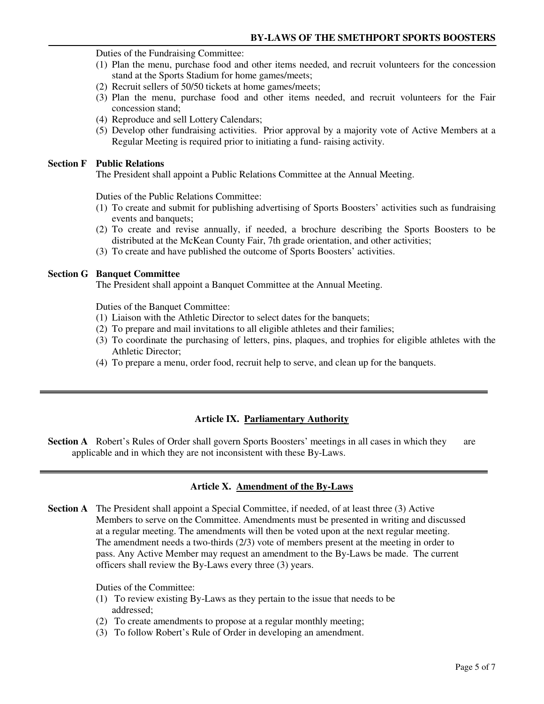Duties of the Fundraising Committee:

- (1) Plan the menu, purchase food and other items needed, and recruit volunteers for the concession stand at the Sports Stadium for home games/meets;
- (2) Recruit sellers of 50/50 tickets at home games/meets;
- (3) Plan the menu, purchase food and other items needed, and recruit volunteers for the Fair concession stand;
- (4) Reproduce and sell Lottery Calendars;
- (5) Develop other fundraising activities. Prior approval by a majority vote of Active Members at a Regular Meeting is required prior to initiating a fund- raising activity.

### **Section F Public Relations**

The President shall appoint a Public Relations Committee at the Annual Meeting.

Duties of the Public Relations Committee:

- (1) To create and submit for publishing advertising of Sports Boosters' activities such as fundraising events and banquets;
- (2) To create and revise annually, if needed, a brochure describing the Sports Boosters to be distributed at the McKean County Fair, 7th grade orientation, and other activities;
- (3) To create and have published the outcome of Sports Boosters' activities.

### **Section G Banquet Committee**

The President shall appoint a Banquet Committee at the Annual Meeting.

Duties of the Banquet Committee:

- (1) Liaison with the Athletic Director to select dates for the banquets;
- (2) To prepare and mail invitations to all eligible athletes and their families;
- (3) To coordinate the purchasing of letters, pins, plaques, and trophies for eligible athletes with the Athletic Director;
- (4) To prepare a menu, order food, recruit help to serve, and clean up for the banquets.

### **Article IX. Parliamentary Authority**

**Section A** Robert's Rules of Order shall govern Sports Boosters' meetings in all cases in which they are applicable and in which they are not inconsistent with these By-Laws.

### **Article X. Amendment of the By-Laws**

**Section A** The President shall appoint a Special Committee, if needed, of at least three (3) Active Members to serve on the Committee. Amendments must be presented in writing and discussed at a regular meeting. The amendments will then be voted upon at the next regular meeting. The amendment needs a two-thirds (2/3) vote of members present at the meeting in order to pass. Any Active Member may request an amendment to the By-Laws be made. The current officers shall review the By-Laws every three (3) years.

Duties of the Committee:

- (1) To review existing By-Laws as they pertain to the issue that needs to be addressed;
- (2) To create amendments to propose at a regular monthly meeting;
- (3) To follow Robert's Rule of Order in developing an amendment.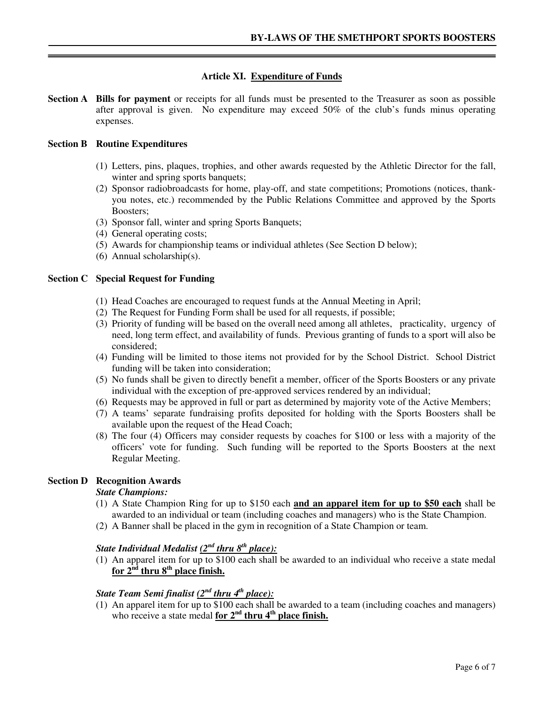## **Article XI. Expenditure of Funds**

**Section A Bills for payment** or receipts for all funds must be presented to the Treasurer as soon as possible after approval is given. No expenditure may exceed 50% of the club's funds minus operating expenses.

### **Section B Routine Expenditures**

- (1) Letters, pins, plaques, trophies, and other awards requested by the Athletic Director for the fall, winter and spring sports banquets;
- (2) Sponsor radiobroadcasts for home, play-off, and state competitions; Promotions (notices, thankyou notes, etc.) recommended by the Public Relations Committee and approved by the Sports Boosters;
- (3) Sponsor fall, winter and spring Sports Banquets;
- (4) General operating costs;
- (5) Awards for championship teams or individual athletes (See Section D below);
- (6) Annual scholarship(s).

### **Section C Special Request for Funding**

- (1) Head Coaches are encouraged to request funds at the Annual Meeting in April;
- (2) The Request for Funding Form shall be used for all requests, if possible;
- (3) Priority of funding will be based on the overall need among all athletes, practicality, urgency of need, long term effect, and availability of funds. Previous granting of funds to a sport will also be considered;
- (4) Funding will be limited to those items not provided for by the School District. School District funding will be taken into consideration;
- (5) No funds shall be given to directly benefit a member, officer of the Sports Boosters or any private individual with the exception of pre-approved services rendered by an individual;
- (6) Requests may be approved in full or part as determined by majority vote of the Active Members;
- (7) A teams' separate fundraising profits deposited for holding with the Sports Boosters shall be available upon the request of the Head Coach;
- (8) The four (4) Officers may consider requests by coaches for \$100 or less with a majority of the officers' vote for funding. Such funding will be reported to the Sports Boosters at the next Regular Meeting.

### **Section D Recognition Awards**

### *State Champions:*

- (1) A State Champion Ring for up to \$150 each **and an apparel item for up to \$50 each** shall be awarded to an individual or team (including coaches and managers) who is the State Champion.
- (2) A Banner shall be placed in the gym in recognition of a State Champion or team.

# *State Individual Medalist (2nd thru 8th place):*

(1) An apparel item for up to \$100 each shall be awarded to an individual who receive a state medal for  $2^{nd}$  thru  $8^{th}$  place finish.

# *State Team Semi finalist (2nd thru 4th place):*

(1) An apparel item for up to \$100 each shall be awarded to a team (including coaches and managers) who receive a state medal **for 2nd thru 4th place finish.**